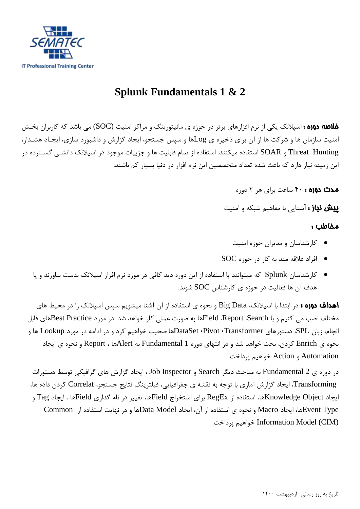

## **Splunk Fundamentals 1 & 2**

خالصه دوره : اسپالنک یکی از نرم افزارهای برتر در حوزه ی مانیتورینگ و مراکز امنیت (SOC (می باشد که کاربران بخش امنیت سازمان ها و شرکت ها از آن برای ذخیره ی Logها و سپس جستجو، ایجاد گزارش و داشبورد سازی، ایجـاد هشـدار، Hunting Threat و SOAR استفاده میکنند. استفاده از تمام قابلیت ها و جزییات موجود در اسپالنک دانششی گسشترده در این زمینه نیاز دارد که باعث شده تعداد متخصصین این نرم افزار در دنیا بسیار کم باشند.

مدت دوره : 01 ساعت برای هر 2 دوره

**پیش نیاز :** آشنایی با مفاهیم شبکه و امنیت

## مخاطب :

- کارشناسان و مدیران حوزه امنیت
- افراد عالقه مند به کار در حوزه SOC
- کارشناسان Splunk که میتوانند با استفاده از این دوره دید کافی در مورد نرم افزار اسپالنک بدست بیاورند و یا هدف آن ها فعالیت در حوزه ی کارشناس SOC شوند.

اهداف دوره : در ابتدا با اسپلانک، Big Data و نحوه ی استفاده از آن آشنا میشویم سپس اسپلانک را در محیط های مختلف نصب می کنیم و با Field ،Report ،Searchها به صورت عملی کار خواهد شد. در مورد Best Practiceمای قابل انجام، زبان SPL، دستورهای Transformer، Pivot، DataSetها صحبت خواهیم کرد و در ادامه در مورد Lookup ها و نحوه ی Enrich کردن، بحث خواهد شد و در انتهای دوره 1 Fundamental به Alertها ، Report و نحوه ی ایجاد Automation و Action خواهیم پرداخت.

در دوره ی 2 Fundamental به مباحث دیگر Search و Inspector Job ، ایجاد گزارش های گرافیکی توسط دستورات Transforming، ایجاد گزارش آماری با توجه به نقشه ی جغرافیایی، فیلترینگ نتایج جستجو، Correlat کردن داده ها، ایجاد Object Knowledgeها، استفاده از RegEx برای استخراج Fieldها، تغییر در نام گذاری Fieldها ، ایجاد Tag و Type Eventها، ایجاد Macro و نحوه ی استفاده از آن، ایجاد Model Dataها و در نهایت استفاده از Common .پرداخت خواهیم Information Model (CIM)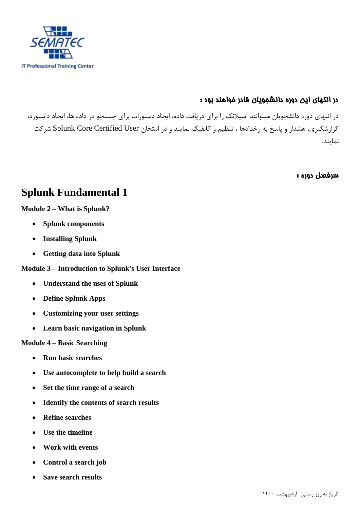

## در انتهای اين دوره دانشجويان قادر خواهند بود :

در انتهای دوره دانشجویان میتوانند اسپالنک را برای دریافت داده، ایجاد دستورات برای جستجو در داده ها، ایجاد داشبورد، گزارشگیری، هشدار و پاسخ به رخدادها ، تنظیم و کانفیگ نمایند و در امتحان Splunk Core Certified User شرکت نمایند.

سرفصل دوره :

## **Splunk Fundamental 1**

## **Module 2 – What is Splunk?**

- **Splunk components**
- **Installing Splunk**
- **Getting data into Splunk**

## **Module 3 – Introduction to Splunk's User Interface**

- **Understand the uses of Splunk**
- **Define Splunk Apps**
- **Customizing your user settings**
- **Learn basic navigation in Splunk**

### **Module 4 – Basic Searching**

- **Run basic searches**
- **Use autocomplete to help build a search**
- **Set the time range of a search**
- **Identify the contents of search results**
- **Refine searches**
- **Use the timeline**
- **Work with events**
- **Control a search job**
- **Save search results**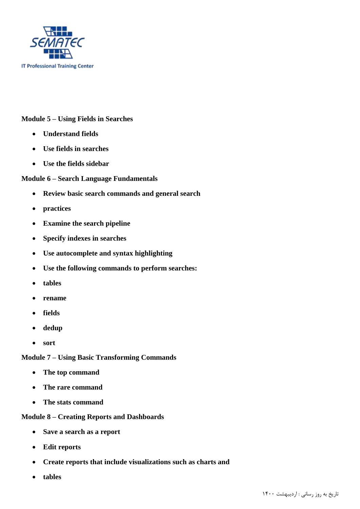

#### **Module 5 – Using Fields in Searches**

- **Understand fields**
- **Use fields in searches**
- **Use the fields sidebar**

#### **Module 6 – Search Language Fundamentals**

- **Review basic search commands and general search**
- **practices**
- **Examine the search pipeline**
- **Specify indexes in searches**
- **Use autocomplete and syntax highlighting**
- **Use the following commands to perform searches:**
- **tables**
- **rename**
- **fields**
- **dedup**
- **sort**

**Module 7 – Using Basic Transforming Commands**

- **The top command**
- **The rare command**
- **The stats command**

## **Module 8 – Creating Reports and Dashboards**

- **Save a search as a report**
- **Edit reports**
- **Create reports that include visualizations such as charts and**
- **tables**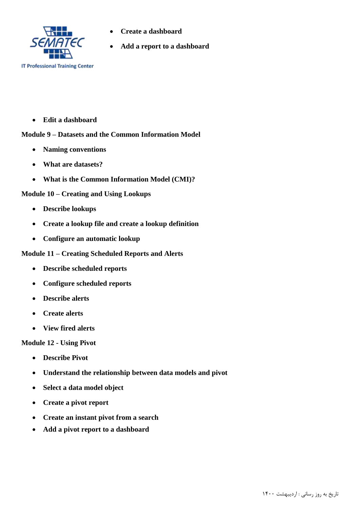

- **Create a dashboard**
- **Add a report to a dashboard**

**Edit a dashboard**

#### **Module 9 – Datasets and the Common Information Model**

- **Naming conventions**
- **What are datasets?**
- **What is the Common Information Model (CMI)?**

#### **Module 10 – Creating and Using Lookups**

- **Describe lookups**
- **Create a lookup file and create a lookup definition**
- **Configure an automatic lookup**

#### **Module 11 – Creating Scheduled Reports and Alerts**

- **Describe scheduled reports**
- **Configure scheduled reports**
- **Describe alerts**
- **Create alerts**
- **View fired alerts**

#### **Module 12 - Using Pivot**

- **Describe Pivot**
- **Understand the relationship between data models and pivot**
- **Select a data model object**
- **Create a pivot report**
- **Create an instant pivot from a search**
- **Add a pivot report to a dashboard**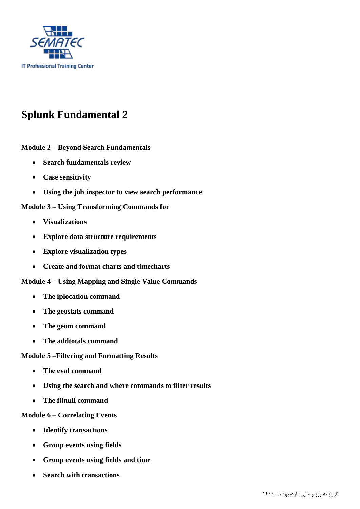

# **Splunk Fundamental 2**

**Module 2 – Beyond Search Fundamentals**

- **Search fundamentals review**
- **Case sensitivity**
- **Using the job inspector to view search performance**

**Module 3 – Using Transforming Commands for**

- **Visualizations**
- **Explore data structure requirements**
- **Explore visualization types**
- **Create and format charts and timecharts**
- **Module 4 – Using Mapping and Single Value Commands**
	- **The iplocation command**
	- **The geostats command**
	- **The geom command**
	- **The addtotals command**

#### **Module 5 –Filtering and Formatting Results**

- **The eval command**
- **Using the search and where commands to filter results**
- **The filnull command**

#### **Module 6 – Correlating Events**

- **Identify transactions**
- **Group events using fields**
- **Group events using fields and time**
- **Search with transactions**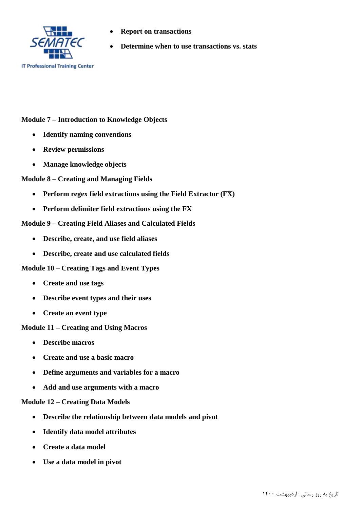

- **Report on transactions**
- **Determine when to use transactions vs. stats**

#### **Module 7 – Introduction to Knowledge Objects**

- **Identify naming conventions**
- **Review permissions**
- **Manage knowledge objects**

#### **Module 8 – Creating and Managing Fields**

- **Perform regex field extractions using the Field Extractor (FX)**
- **Perform delimiter field extractions using the FX**

#### **Module 9 – Creating Field Aliases and Calculated Fields**

- **Describe, create, and use field aliases**
- **Describe, create and use calculated fields**

#### **Module 10 – Creating Tags and Event Types**

- **Create and use tags**
- **Describe event types and their uses**
- **Create an event type**

#### **Module 11 – Creating and Using Macros**

- **Describe macros**
- **Create and use a basic macro**
- **Define arguments and variables for a macro**
- **Add and use arguments with a macro**

#### **Module 12 – Creating Data Models**

- **Describe the relationship between data models and pivot**
- **Identify data model attributes**
- **Create a data model**
- **Use a data model in pivot**